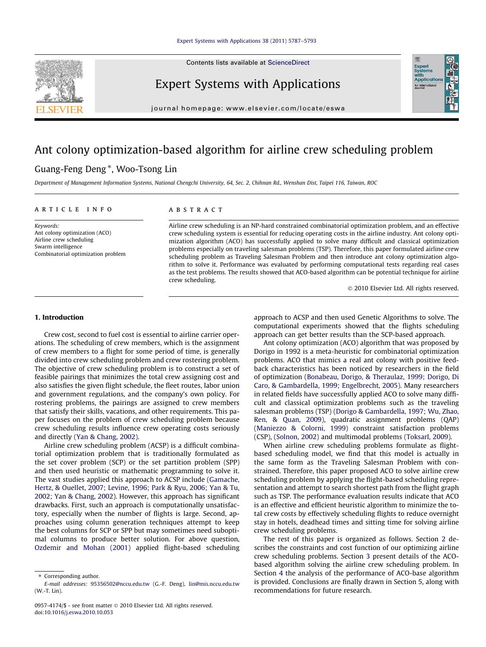Contents lists available at [ScienceDirect](http://www.sciencedirect.com/science/journal/09574174)



# Expert Systems with Applications

journal homepage: [www.elsevier.com/locate/eswa](http://www.elsevier.com/locate/eswa)

# Ant colony optimization-based algorithm for airline crew scheduling problem

# Guang-Feng Deng<sup>\*</sup>, Woo-Tsong Lin

Department of Management Information Systems, National Chengchi University, 64, Sec. 2, Chihnan Rd., Wenshan Dist, Taipei 116, Taiwan, ROC

#### article info

Keywords: Ant colony optimization (ACO) Airline crew scheduling Swarm intelligence Combinatorial optimization problem

## **ABSTRACT**

Airline crew scheduling is an NP-hard constrained combinatorial optimization problem, and an effective crew scheduling system is essential for reducing operating costs in the airline industry. Ant colony optimization algorithm (ACO) has successfully applied to solve many difficult and classical optimization problems especially on traveling salesman problems (TSP). Therefore, this paper formulated airline crew scheduling problem as Traveling Salesman Problem and then introduce ant colony optimization algorithm to solve it. Performance was evaluated by performing computational tests regarding real cases as the test problems. The results showed that ACO-based algorithm can be potential technique for airline crew scheduling.

- 2010 Elsevier Ltd. All rights reserved.

Expert<br>Systems<br>with<br>Applical

### 1. Introduction

Crew cost, second to fuel cost is essential to airline carrier operations. The scheduling of crew members, which is the assignment of crew members to a flight for some period of time, is generally divided into crew scheduling problem and crew rostering problem. The objective of crew scheduling problem is to construct a set of feasible pairings that minimizes the total crew assigning cost and also satisfies the given flight schedule, the fleet routes, labor union and government regulations, and the company's own policy. For rostering problems, the pairings are assigned to crew members that satisfy their skills, vacations, and other requirements. This paper focuses on the problem of crew scheduling problem because crew scheduling results influence crew operating costs seriously and directly ([Yan & Chang, 2002\)](#page--1-0).

Airline crew scheduling problem (ACSP) is a difficult combinatorial optimization problem that is traditionally formulated as the set cover problem (SCP) or the set partition problem (SPP) and then used heuristic or mathematic programming to solve it. The vast studies applied this approach to ACSP include ([Gamache,](#page--1-0) [Hertz, & Ouellet, 2007; Levine, 1996; Park & Ryu, 2006; Yan & Tu,](#page--1-0) [2002; Yan & Chang, 2002\)](#page--1-0). However, this approach has significant drawbacks. First, such an approach is computationally unsatisfactory, especially when the number of flights is large. Second, approaches using column generation techniques attempt to keep the best columns for SCP or SPP but may sometimes need suboptimal columns to produce better solution. For above question, [Ozdemir and Mohan \(2001\)](#page--1-0) applied flight-based scheduling

⇑ Corresponding author.

approach to ACSP and then used Genetic Algorithms to solve. The computational experiments showed that the flights scheduling approach can get better results than the SCP-based approach.

Ant colony optimization (ACO) algorithm that was proposed by Dorigo in 1992 is a meta-heuristic for combinatorial optimization problems. ACO that mimics a real ant colony with positive feedback characteristics has been noticed by researchers in the field of optimization [\(Bonabeau, Dorigo, & Theraulaz, 1999; Dorigo, Di](#page--1-0) [Caro, & Gambardella, 1999; Engelbrecht, 2005\)](#page--1-0). Many researchers in related fields have successfully applied ACO to solve many difficult and classical optimization problems such as the traveling salesman problems (TSP) ([Dorigo & Gambardella, 1997; Wu, Zhao,](#page--1-0) [Ren, & Quan, 2009](#page--1-0)), quadratic assignment problems (QAP) ([Maniezzo & Colorni, 1999\)](#page--1-0) constraint satisfaction problems (CSP), ([Solnon, 2002](#page--1-0)) and multimodal problems ([ToksarI, 2009](#page--1-0)).

When airline crew scheduling problems formulate as flightbased scheduling model, we find that this model is actually in the same form as the Traveling Salesman Problem with constrained. Therefore, this paper proposed ACO to solve airline crew scheduling problem by applying the flight-based scheduling representation and attempt to search shortest path from the flight graph such as TSP. The performance evaluation results indicate that ACO is an effective and efficient heuristic algorithm to minimize the total crew costs by effectively scheduling flights to reduce overnight stay in hotels, deadhead times and sitting time for solving airline crew scheduling problems.

The rest of this paper is organized as follows. Section [2](#page-1-0) describes the constraints and cost function of our optimizing airline crew scheduling problems. Section [3](#page-1-0) present details of the ACObased algorithm solving the airline crew scheduling problem. In Section [4](#page--1-0) the analysis of the performance of ACO-base algorithm is provided. Conclusions are finally drawn in Section [5,](#page--1-0) along with recommendations for future research.

E-mail addresses: [95356502@nccu.edu.tw](mailto:95356502@nccu.edu.tw) (G.-F. Deng), [lin@mis.nccu.edu.tw](mailto:lin@mis.nccu.edu.tw) (W.-T. Lin).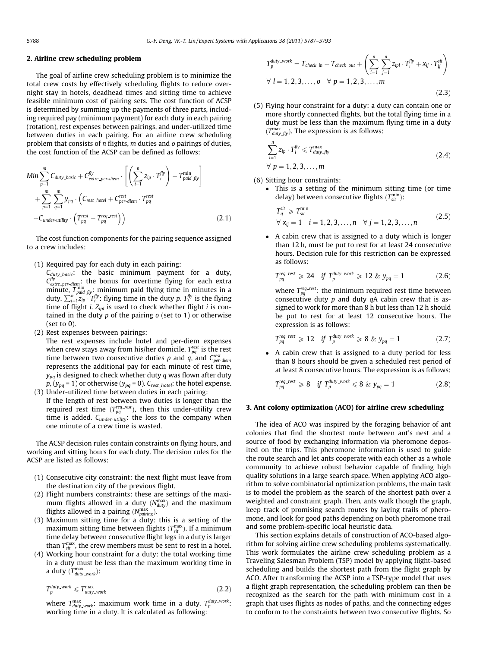### <span id="page-1-0"></span>2. Airline crew scheduling problem

The goal of airline crew scheduling problem is to minimize the total crew costs by effectively scheduling flights to reduce overnight stay in hotels, deadhead times and sitting time to achieve feasible minimum cost of pairing sets. The cost function of ACSP is determined by summing up the payments of three parts, including required pay (minimum payment) for each duty in each pairing (rotation), rest expenses between pairings, and under-utilized time between duties in each pairing. For an airline crew scheduling problem that consists of n flights, m duties and o pairings of duties, the cost function of the ACSP can be defined as follows:

$$
Min \sum_{p=1}^{m} C_{duty\_basic} + C_{extre\_per-diem}^{fly} \cdot \left[ \left( \sum_{i=1}^{n} z_{ip} \cdot T_i^{fly} \right) - T_{paid\_fly}^{min} \right] + \sum_{p=1}^{m} \sum_{q=1}^{m} y_{pq} \cdot \left( C_{rest\_hotel} + C_{per-diem}^{rest} \cdot T_{pq}^{rest} + C_{under-utility} \cdot \left( T_{pq}^{rest} - T_{pq}^{reg\_rest} \right) \right)
$$
\n(2.1)

The cost function components for the pairing sequence assigned to a crew includes:

- (1) Required pay for each duty in each pairing:
	- $C_{duty\_basic}$ : the basic minimum payment for a duty,  $C_{\text{extre\_per-diem}}^{fy}$ : the bonus for overtime flying for each extra minute,  $T_{\text{mid}}^{\text{min}}$  minimum paid flying time in minutes in a duty.  $\sum_{i=1}^{n} Z_{ip} \cdot T_{i}^{\text{fly}}$ : flying time in the duty  $p$ .  $T_{i}^{\text{fly}}$  is the flying time of flight i.  $Z_{ipl}$  is used to check whether flight i is contained in the duty  $p$  of the pairing  $o$  (set to 1) or otherwise  $(set to 0)$
- (2) Rest expenses between pairings:

The rest expenses include hotel and per-diem expenses when crew stays away from his/her domicile.  $T_{pq}^{\text{rest}}$  is the rest time between two consecutive duties p and q, and  $C_{per-diem}^{rest}$ represents the additional pay for each minute of rest time,  $y_{pq}$  is designed to check whether duty q was flown after duty  $p$ , ( $y_{pq}$  = 1) or otherwise ( $y_{pq}$  = 0).  $C_{rest\_hotel}$ : the hotel expense. (3) Under-utilized time between duties in each pairing:

If the length of rest between two duties is longer than the required rest time  $(T_{pq}^{req\_rest})$ , then this under-utility crew time is added.  $C_{under-utility}$ : the loss to the company when one minute of a crew time is wasted.

The ACSP decision rules contain constraints on flying hours, and working and sitting hours for each duty. The decision rules for the ACSP are listed as follows:

- (1) Consecutive city constraint: the next flight must leave from the destination city of the previous flight.
- (2) Flight numbers constraints: these are settings of the maximum flights allowed in a duty  $(N_{\text{duty}}^{\text{max}})$  and the maximum flights allowed in a pairing  $(N_{pairing}^{max})$ .
- (3) Maximum sitting time for a duty: this is a setting of the maximum sitting time between flights  $(T_{\textit{sit}}^{\textit{max}})$ . If a minimum time delay between consecutive flight legs in a duty is larger than  $T_{\text{sit}}^{\text{max}}$ , the crew members must be sent to rest in a hotel.
- (4) Working hour constraint for a duty: the total working time in a duty must be less than the maximum working time in a duty  $(T^{\text{max}}_{\text{duty\_work}})$ :

$$
T_p^{duty\_work} \leqslant T_{duty\_work}^{max} \tag{2.2}
$$

where  $T^{max}_{duty\_work}$ : maximum work time in a duty.  $T^{duty\_work}_{p}$ : working time in a duty. It is calculated as following:

$$
T_p^{duty\_work} = T_{check\_in} + T_{check\_out} + \left(\sum_{i=1}^n \sum_{j=1}^n z_{ipl} \cdot T_i^{fly} + x_{ij} \cdot T_{ij}^{sit}\right)
$$
  

$$
\forall l = 1, 2, 3, ..., o \quad \forall p = 1, 2, 3, ..., m
$$
 (2.3)

(5) Flying hour constraint for a duty: a duty can contain one or more shortly connected flights, but the total flying time in a duty must be less than the maximum flying time in a duty  $(T^{max}_{duty_ffy})$ . The expression is as follows:

$$
\sum_{i=1}^{n} z_{ip} \cdot T_i^{fly} \leq T_{duty, fly}^{\max}
$$
\n
$$
\forall p = 1, 2, 3, ..., m
$$
\n(2.4)

(6) Sitting hour constraints:

 This is a setting of the minimum sitting time (or time delay) between consecutive flights  $(T_{\textit{sit}}^{\text{min}})$ :

$$
T_{ij}^{\text{sit}} \geq T_{\text{sit}}^{\text{min}}
$$
  
\n
$$
\forall x_{ij} = 1 \quad i = 1, 2, 3, ..., n \quad \forall j = 1, 2, 3, ..., n \tag{2.5}
$$

 A cabin crew that is assigned to a duty which is longer than 12 h, must be put to rest for at least 24 consecutive hours. Decision rule for this restriction can be expressed as follows:

$$
T_{pq}^{req\_rest} \geqslant 24 \quad \text{if } T_p^{duty\_work} \geqslant 12 \, \& \, y_{pq} = 1 \tag{2.6}
$$

where  $T_{pq}^{req\_rest}$ : the minimum required rest time between consecutive duty  $p$  and duty  $qA$  cabin crew that is assigned to work for more than 8 h but less than 12 h should be put to rest for at least 12 consecutive hours. The expression is as follows:

$$
T_{pq}^{req\_rest} \geqslant 12 \quad \text{if } T_p^{duty\_work} \geqslant 8 \, \& \, y_{pq} = 1 \tag{2.7}
$$

 A cabin crew that is assigned to a duty period for less than 8 hours should be given a scheduled rest period of at least 8 consecutive hours. The expression is as follows:

$$
T_{pq}^{req\_rest} \geqslant 8 \quad \text{if} \; T_p^{duty\_work} \leqslant 8 \; \& \; y_{pq} = 1 \tag{2.8}
$$

### 3. Ant colony optimization (ACO) for airline crew scheduling

The idea of ACO was inspired by the foraging behavior of ant colonies that find the shortest route between ant's nest and a source of food by exchanging information via pheromone deposited on the trips. This pheromone information is used to guide the route search and let ants cooperate with each other as a whole community to achieve robust behavior capable of finding high quality solutions in a large search space. When applying ACO algorithm to solve combinatorial optimization problems, the main task is to model the problem as the search of the shortest path over a weighted and constraint graph. Then, ants walk though the graph, keep track of promising search routes by laying trails of pheromone, and look for good paths depending on both pheromone trail and some problem-specific local heuristic data.

This section explains details of construction of ACO-based algorithm for solving airline crew scheduling problems systematically. This work formulates the airline crew scheduling problem as a Traveling Salesman Problem (TSP) model by applying flight-based scheduling and builds the shortest path from the flight graph by ACO. After transforming the ACSP into a TSP-type model that uses a flight graph representation, the scheduling problem can then be recognized as the search for the path with minimum cost in a graph that uses flights as nodes of paths, and the connecting edges to conform to the constraints between two consecutive flights. So